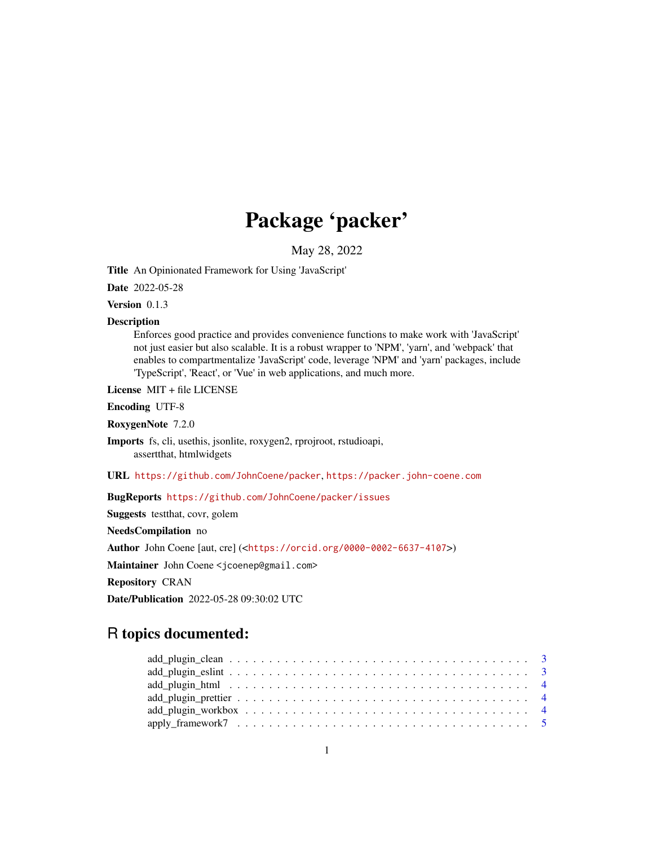# Package 'packer'

May 28, 2022

<span id="page-0-0"></span>Title An Opinionated Framework for Using 'JavaScript'

Date 2022-05-28

Version 0.1.3

#### Description

Enforces good practice and provides convenience functions to make work with 'JavaScript' not just easier but also scalable. It is a robust wrapper to 'NPM', 'yarn', and 'webpack' that enables to compartmentalize 'JavaScript' code, leverage 'NPM' and 'yarn' packages, include 'TypeScript', 'React', or 'Vue' in web applications, and much more.

License MIT + file LICENSE

Encoding UTF-8

RoxygenNote 7.2.0

Imports fs, cli, usethis, jsonlite, roxygen2, rprojroot, rstudioapi, assertthat, htmlwidgets

URL <https://github.com/JohnCoene/packer>, <https://packer.john-coene.com>

BugReports <https://github.com/JohnCoene/packer/issues>

Suggests testthat, covr, golem

NeedsCompilation no

Author John Coene [aut, cre] (<<https://orcid.org/0000-0002-6637-4107>>)

Maintainer John Coene <jcoenep@gmail.com>

Repository CRAN

Date/Publication 2022-05-28 09:30:02 UTC

## R topics documented:

| $add\_plugin\_eslint \ldots \ldots \ldots \ldots \ldots \ldots \ldots \ldots \ldots \ldots \ldots \ldots \ldots 3$ |  |
|--------------------------------------------------------------------------------------------------------------------|--|
|                                                                                                                    |  |
|                                                                                                                    |  |
|                                                                                                                    |  |
|                                                                                                                    |  |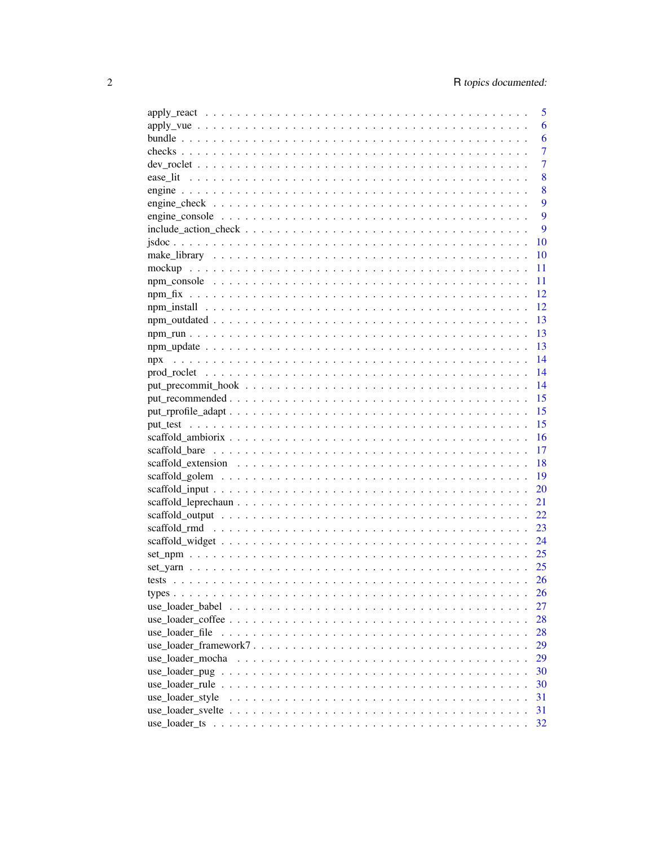|                                                                                                              |  |  |  |  |  |  |  |  |  |  |  | 5  |  |
|--------------------------------------------------------------------------------------------------------------|--|--|--|--|--|--|--|--|--|--|--|----|--|
| $apply\_vae \dots \dots \dots \dots \dots \dots \dots \dots \dots \dots \dots \dots \dots \dots \dots \dots$ |  |  |  |  |  |  |  |  |  |  |  | 6  |  |
|                                                                                                              |  |  |  |  |  |  |  |  |  |  |  | 6  |  |
|                                                                                                              |  |  |  |  |  |  |  |  |  |  |  | 7  |  |
|                                                                                                              |  |  |  |  |  |  |  |  |  |  |  | 7  |  |
|                                                                                                              |  |  |  |  |  |  |  |  |  |  |  | 8  |  |
|                                                                                                              |  |  |  |  |  |  |  |  |  |  |  | 8  |  |
|                                                                                                              |  |  |  |  |  |  |  |  |  |  |  | 9  |  |
|                                                                                                              |  |  |  |  |  |  |  |  |  |  |  | 9  |  |
|                                                                                                              |  |  |  |  |  |  |  |  |  |  |  | 9  |  |
|                                                                                                              |  |  |  |  |  |  |  |  |  |  |  | 10 |  |
|                                                                                                              |  |  |  |  |  |  |  |  |  |  |  | 10 |  |
|                                                                                                              |  |  |  |  |  |  |  |  |  |  |  | 11 |  |
|                                                                                                              |  |  |  |  |  |  |  |  |  |  |  | 11 |  |
|                                                                                                              |  |  |  |  |  |  |  |  |  |  |  | 12 |  |
|                                                                                                              |  |  |  |  |  |  |  |  |  |  |  | 12 |  |
|                                                                                                              |  |  |  |  |  |  |  |  |  |  |  | 13 |  |
|                                                                                                              |  |  |  |  |  |  |  |  |  |  |  | 13 |  |
|                                                                                                              |  |  |  |  |  |  |  |  |  |  |  | 13 |  |
| npx                                                                                                          |  |  |  |  |  |  |  |  |  |  |  | 14 |  |
|                                                                                                              |  |  |  |  |  |  |  |  |  |  |  | 14 |  |
|                                                                                                              |  |  |  |  |  |  |  |  |  |  |  | 14 |  |
|                                                                                                              |  |  |  |  |  |  |  |  |  |  |  | 15 |  |
|                                                                                                              |  |  |  |  |  |  |  |  |  |  |  | 15 |  |
|                                                                                                              |  |  |  |  |  |  |  |  |  |  |  | 15 |  |
|                                                                                                              |  |  |  |  |  |  |  |  |  |  |  | 16 |  |
|                                                                                                              |  |  |  |  |  |  |  |  |  |  |  | 17 |  |
|                                                                                                              |  |  |  |  |  |  |  |  |  |  |  | 18 |  |
|                                                                                                              |  |  |  |  |  |  |  |  |  |  |  | 19 |  |
|                                                                                                              |  |  |  |  |  |  |  |  |  |  |  | 20 |  |
|                                                                                                              |  |  |  |  |  |  |  |  |  |  |  | 21 |  |
|                                                                                                              |  |  |  |  |  |  |  |  |  |  |  | 22 |  |
|                                                                                                              |  |  |  |  |  |  |  |  |  |  |  | 23 |  |
|                                                                                                              |  |  |  |  |  |  |  |  |  |  |  | 24 |  |
|                                                                                                              |  |  |  |  |  |  |  |  |  |  |  | 25 |  |
|                                                                                                              |  |  |  |  |  |  |  |  |  |  |  | 25 |  |
|                                                                                                              |  |  |  |  |  |  |  |  |  |  |  | 26 |  |
|                                                                                                              |  |  |  |  |  |  |  |  |  |  |  | 26 |  |
|                                                                                                              |  |  |  |  |  |  |  |  |  |  |  | 27 |  |
|                                                                                                              |  |  |  |  |  |  |  |  |  |  |  | 28 |  |
| use loader file                                                                                              |  |  |  |  |  |  |  |  |  |  |  | 28 |  |
|                                                                                                              |  |  |  |  |  |  |  |  |  |  |  | 29 |  |
|                                                                                                              |  |  |  |  |  |  |  |  |  |  |  | 29 |  |
|                                                                                                              |  |  |  |  |  |  |  |  |  |  |  | 30 |  |
|                                                                                                              |  |  |  |  |  |  |  |  |  |  |  | 30 |  |
| use_loader_style                                                                                             |  |  |  |  |  |  |  |  |  |  |  | 31 |  |
|                                                                                                              |  |  |  |  |  |  |  |  |  |  |  | 31 |  |
|                                                                                                              |  |  |  |  |  |  |  |  |  |  |  | 32 |  |
|                                                                                                              |  |  |  |  |  |  |  |  |  |  |  |    |  |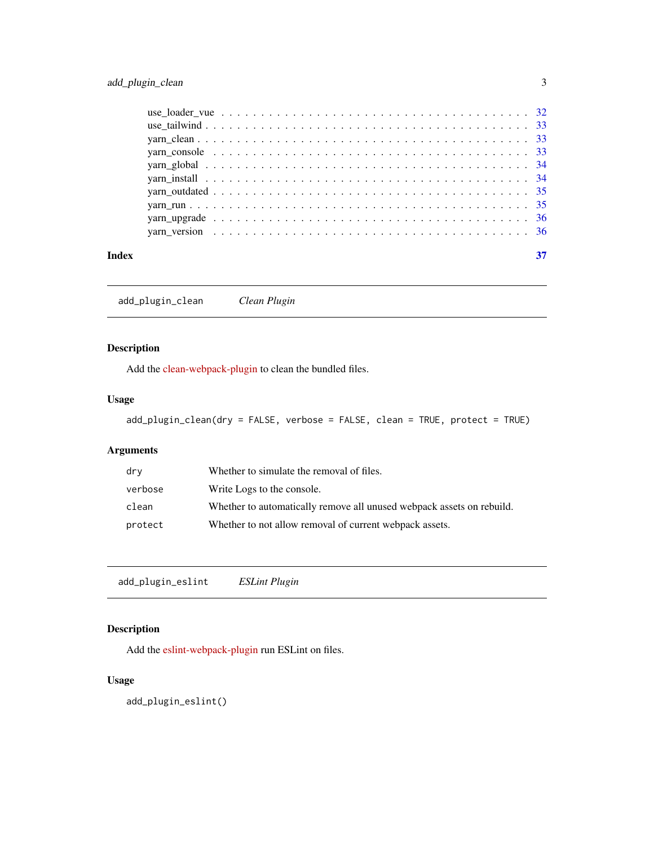<span id="page-2-0"></span>

| Index |  |  |  |  |  |  |  |  |  |  |  |  |  |  |  |  |  |  |  |
|-------|--|--|--|--|--|--|--|--|--|--|--|--|--|--|--|--|--|--|--|
|       |  |  |  |  |  |  |  |  |  |  |  |  |  |  |  |  |  |  |  |
|       |  |  |  |  |  |  |  |  |  |  |  |  |  |  |  |  |  |  |  |
|       |  |  |  |  |  |  |  |  |  |  |  |  |  |  |  |  |  |  |  |
|       |  |  |  |  |  |  |  |  |  |  |  |  |  |  |  |  |  |  |  |
|       |  |  |  |  |  |  |  |  |  |  |  |  |  |  |  |  |  |  |  |
|       |  |  |  |  |  |  |  |  |  |  |  |  |  |  |  |  |  |  |  |
|       |  |  |  |  |  |  |  |  |  |  |  |  |  |  |  |  |  |  |  |
|       |  |  |  |  |  |  |  |  |  |  |  |  |  |  |  |  |  |  |  |
|       |  |  |  |  |  |  |  |  |  |  |  |  |  |  |  |  |  |  |  |
|       |  |  |  |  |  |  |  |  |  |  |  |  |  |  |  |  |  |  |  |

add\_plugin\_clean *Clean Plugin*

## Description

Add the [clean-webpack-plugin](https://www.npmjs.com/package/clean-webpack-plugin) to clean the bundled files.

## Usage

add\_plugin\_clean(dry = FALSE, verbose = FALSE, clean = TRUE, protect = TRUE)

## Arguments

| dry     | Whether to simulate the removal of files.                             |
|---------|-----------------------------------------------------------------------|
| verbose | Write Logs to the console.                                            |
| clean   | Whether to automatically remove all unused webpack assets on rebuild. |
| protect | Whether to not allow removal of current webpack assets.               |

add\_plugin\_eslint *ESLint Plugin*

## Description

Add the [eslint-webpack-plugin](https://www.npmjs.com/package/eslint-webpack-plugin) run ESLint on files.

## Usage

add\_plugin\_eslint()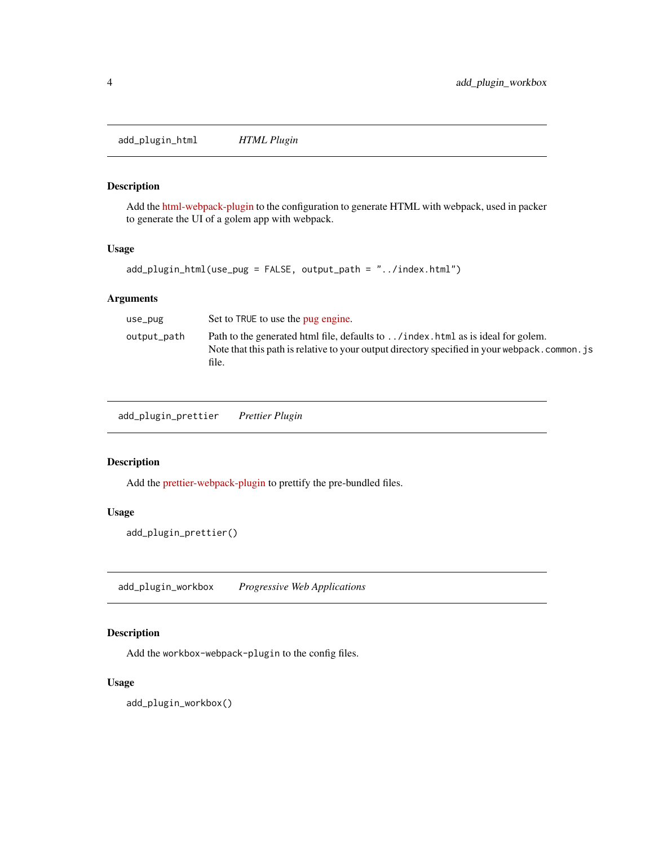<span id="page-3-0"></span>add\_plugin\_html *HTML Plugin*

## Description

Add the [html-webpack-plugin](https://webpack.js.org/plugins/html-webpack-plugin/) to the configuration to generate HTML with webpack, used in packer to generate the UI of a golem app with webpack.

## Usage

```
add_plugin_html(use_pug = FALSE, output_path = "../index.html")
```
## Arguments

| use_pug     | Set to TRUE to use the pug engine.                                                                                                                                                            |
|-------------|-----------------------------------------------------------------------------------------------------------------------------------------------------------------------------------------------|
| output_path | Path to the generated html file, defaults to / index . html as is ideal for golem.<br>Note that this path is relative to your output directory specified in your webpack, common, is<br>file. |

add\_plugin\_prettier *Prettier Plugin*

#### Description

Add the [prettier-webpack-plugin](https://www.npmjs.com/package/prettier-webpack-plugin) to prettify the pre-bundled files.

## Usage

add\_plugin\_prettier()

add\_plugin\_workbox *Progressive Web Applications*

## Description

Add the workbox-webpack-plugin to the config files.

## Usage

add\_plugin\_workbox()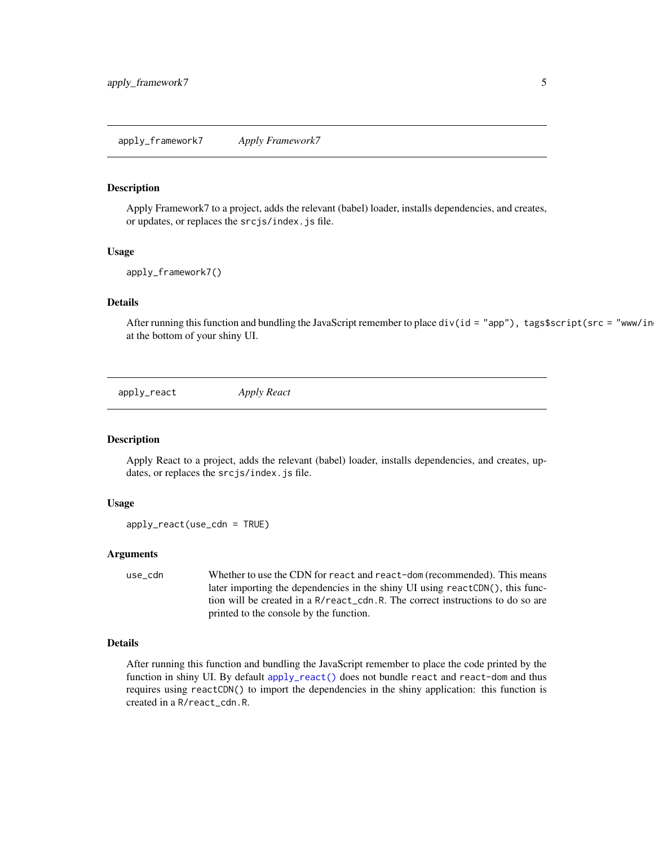#### <span id="page-4-2"></span><span id="page-4-0"></span>Description

Apply Framework7 to a project, adds the relevant (babel) loader, installs dependencies, and creates, or updates, or replaces the srcjs/index.js file.

#### Usage

```
apply_framework7()
```
## Details

After running this function and bundling the JavaScript remember to place div(id = "app"), tags\$script(src = "www/in at the bottom of your shiny UI.

<span id="page-4-1"></span>apply\_react *Apply React*

## Description

Apply React to a project, adds the relevant (babel) loader, installs dependencies, and creates, updates, or replaces the srcjs/index.js file.

#### Usage

apply\_react(use\_cdn = TRUE)

## Arguments

use\_cdn Whether to use the CDN for react and react-dom (recommended). This means later importing the dependencies in the shiny UI using reactCDN(), this function will be created in a R/react\_cdn.R. The correct instructions to do so are printed to the console by the function.

#### Details

After running this function and bundling the JavaScript remember to place the code printed by the function in shiny UI. By default [apply\\_react\(\)](#page-4-1) does not bundle react and react-dom and thus requires using reactCDN() to import the dependencies in the shiny application: this function is created in a R/react\_cdn.R.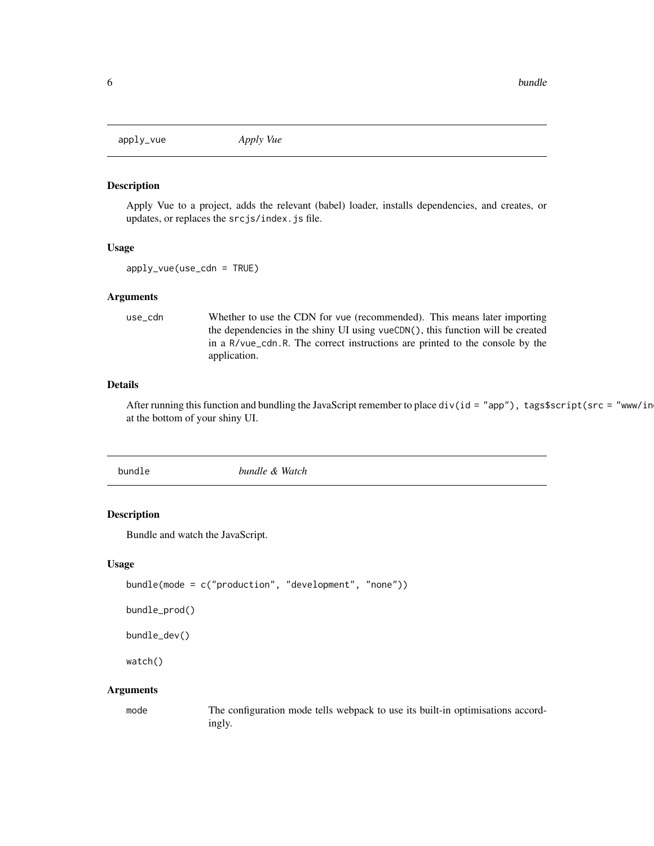<span id="page-5-3"></span><span id="page-5-0"></span>apply\_vue *Apply Vue*

#### Description

Apply Vue to a project, adds the relevant (babel) loader, installs dependencies, and creates, or updates, or replaces the srcjs/index.js file.

#### Usage

```
apply_vue(use_cdn = TRUE)
```
#### Arguments

use\_cdn Whether to use the CDN for vue (recommended). This means later importing the dependencies in the shiny UI using vueCDN(), this function will be created in a R/vue\_cdn.R. The correct instructions are printed to the console by the application.

## Details

After running this function and bundling the JavaScript remember to place div(id = "app"), tags\$script(src = "www/in at the bottom of your shiny UI.

<span id="page-5-1"></span>bundle *bundle & Watch*

## <span id="page-5-2"></span>Description

Bundle and watch the JavaScript.

#### Usage

```
bundle(mode = c("production", "development", "none"))
```

```
bundle_prod()
```
bundle\_dev()

watch()

#### **Arguments**

mode The configuration mode tells webpack to use its built-in optimisations accordingly.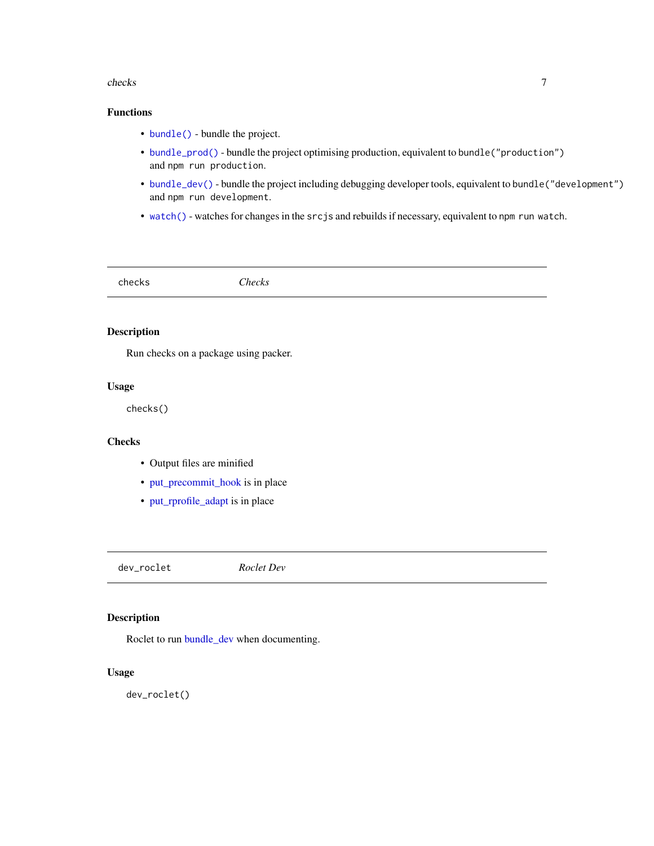#### <span id="page-6-0"></span>checks **7**

## Functions

- [bundle\(\)](#page-5-1) bundle the project.
- [bundle\\_prod\(\)](#page-5-2) bundle the project optimising production, equivalent to bundle("production") and npm run production.
- [bundle\\_dev\(\)](#page-5-2) bundle the project including debugging developer tools, equivalent to bundle("development") and npm run development.
- [watch\(\)](#page-5-2) watches for changes in the srcjs and rebuilds if necessary, equivalent to npm run watch.

checks *Checks*

## Description

Run checks on a package using packer.

## Usage

checks()

## Checks

- Output files are minified
- [put\\_precommit\\_hook](#page-13-1) is in place
- [put\\_rprofile\\_adapt](#page-14-1) is in place

dev\_roclet *Roclet Dev*

## Description

Roclet to run [bundle\\_dev](#page-5-2) when documenting.

#### Usage

dev\_roclet()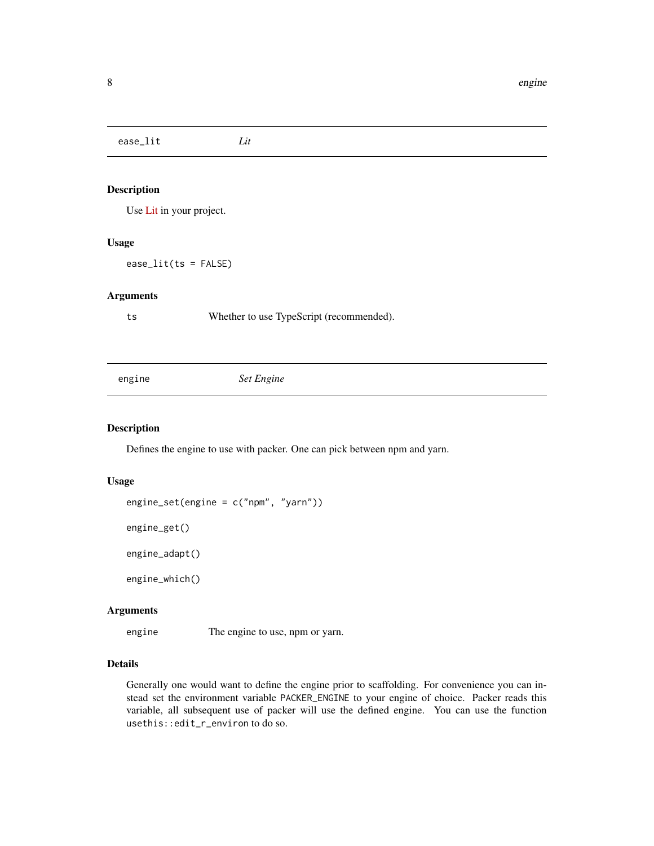<span id="page-7-0"></span>ease\_lit *Lit*

## Description

Use [Lit](https://lit.dev) in your project.

#### Usage

ease\_lit(ts = FALSE)

#### Arguments

ts Whether to use TypeScript (recommended).

engine *Set Engine*

## <span id="page-7-1"></span>Description

Defines the engine to use with packer. One can pick between npm and yarn.

## Usage

engine\_set(engine = c("npm", "yarn"))

engine\_get()

engine\_adapt()

engine\_which()

## Arguments

engine The engine to use, npm or yarn.

## Details

Generally one would want to define the engine prior to scaffolding. For convenience you can instead set the environment variable PACKER\_ENGINE to your engine of choice. Packer reads this variable, all subsequent use of packer will use the defined engine. You can use the function usethis::edit\_r\_environ to do so.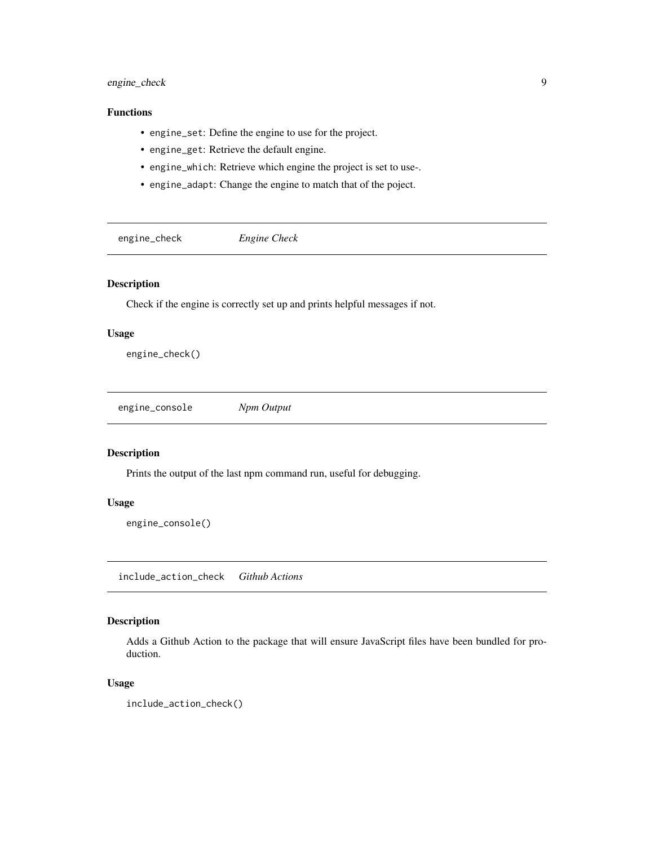## <span id="page-8-0"></span>engine\_check 9

## Functions

- engine\_set: Define the engine to use for the project.
- engine\_get: Retrieve the default engine.
- engine\_which: Retrieve which engine the project is set to use-.
- engine\_adapt: Change the engine to match that of the poject.

engine\_check *Engine Check*

#### Description

Check if the engine is correctly set up and prints helpful messages if not.

## Usage

engine\_check()

engine\_console *Npm Output*

## Description

Prints the output of the last npm command run, useful for debugging.

## Usage

engine\_console()

include\_action\_check *Github Actions*

## Description

Adds a Github Action to the package that will ensure JavaScript files have been bundled for production.

## Usage

include\_action\_check()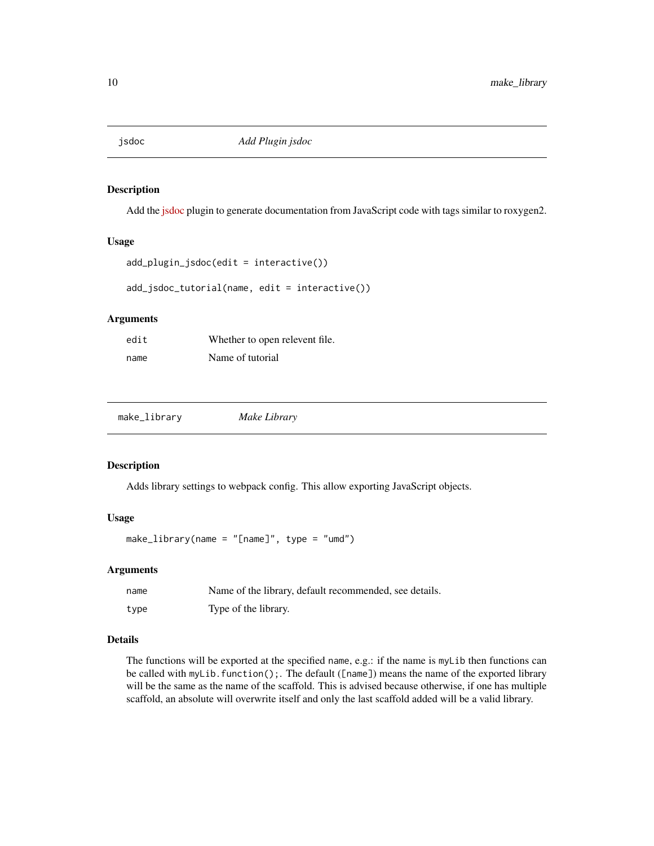<span id="page-9-0"></span>

#### Description

Add the [jsdoc](https://github.com/jsdoc/jsdoc) plugin to generate documentation from JavaScript code with tags similar to roxygen2.

#### Usage

```
add_plugin_jsdoc(edit = interactive())
```
add\_jsdoc\_tutorial(name, edit = interactive())

#### Arguments

| edit | Whether to open relevent file. |
|------|--------------------------------|
| name | Name of tutorial               |

| make_library | Make Library |  |
|--------------|--------------|--|
|--------------|--------------|--|

## Description

Adds library settings to webpack config. This allow exporting JavaScript objects.

## Usage

```
make_library(name = "[name]", type = "umd")
```
## Arguments

| name | Name of the library, default recommended, see details. |
|------|--------------------------------------------------------|
| type | Type of the library.                                   |

## Details

The functions will be exported at the specified name, e.g.: if the name is myLib then functions can be called with myLib.function();. The default ([name]) means the name of the exported library will be the same as the name of the scaffold. This is advised because otherwise, if one has multiple scaffold, an absolute will overwrite itself and only the last scaffold added will be a valid library.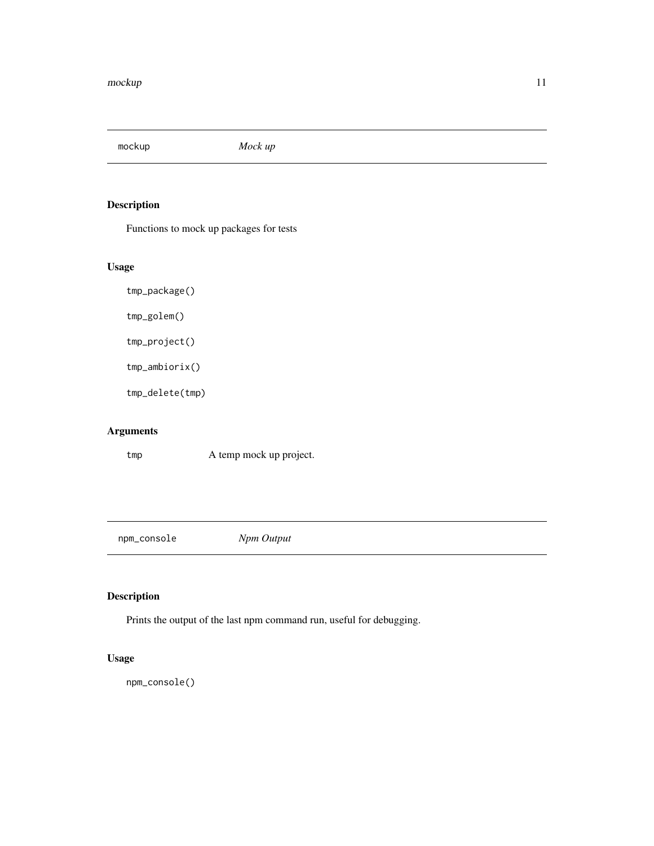<span id="page-10-0"></span>mockup *Mock up*

## Description

Functions to mock up packages for tests

## Usage

tmp\_package()

tmp\_golem()

tmp\_project()

tmp\_ambiorix()

tmp\_delete(tmp)

## Arguments

tmp A temp mock up project.

npm\_console *Npm Output*

## Description

Prints the output of the last npm command run, useful for debugging.

## Usage

npm\_console()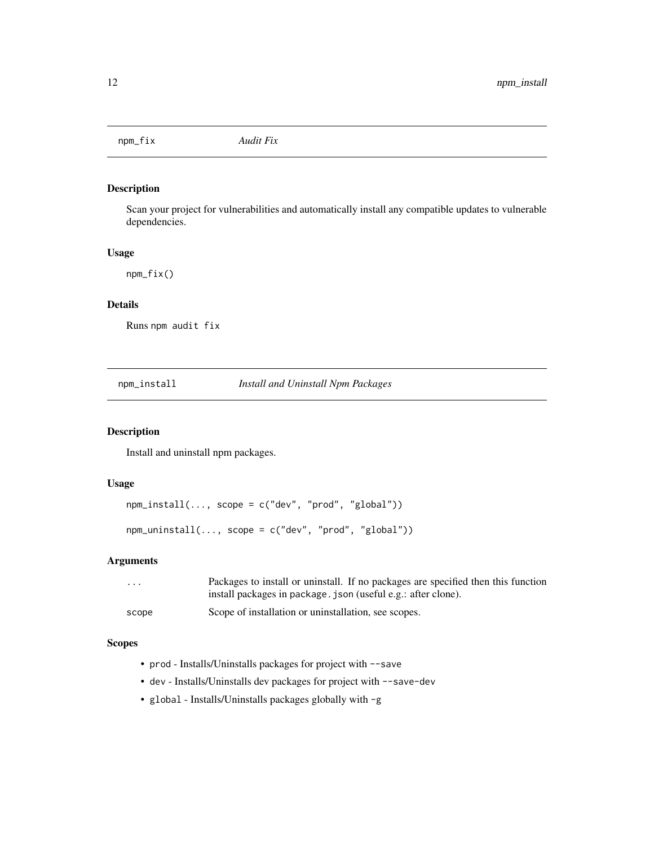<span id="page-11-0"></span>npm\_fix *Audit Fix*

## Description

Scan your project for vulnerabilities and automatically install any compatible updates to vulnerable dependencies.

## Usage

npm\_fix()

## Details

Runs npm audit fix

npm\_install *Install and Uninstall Npm Packages*

## Description

Install and uninstall npm packages.

## Usage

```
npm_install(..., scope = c("dev", "prod", "global"))
npm_uninstall(..., scope = c("dev", "prod", "global"))
```
## Arguments

| $\cdots$ | Packages to install or uninstall. If no packages are specified then this function |
|----------|-----------------------------------------------------------------------------------|
|          | install packages in package. json (useful e.g.: after clone).                     |
| scope    | Scope of installation or uninstallation, see scopes.                              |

## **Scopes**

- prod Installs/Uninstalls packages for project with --save
- dev Installs/Uninstalls dev packages for project with --save-dev
- global Installs/Uninstalls packages globally with -g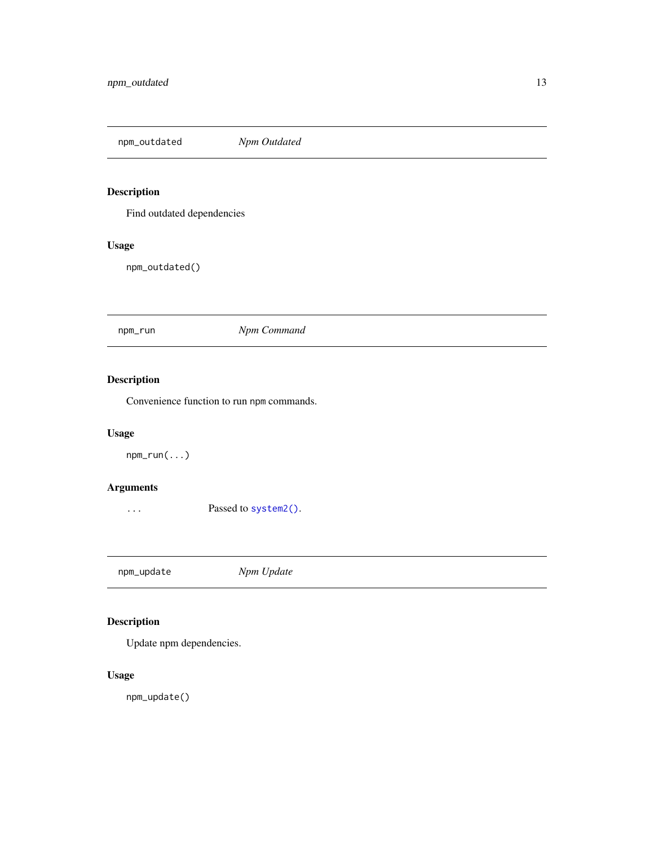<span id="page-12-0"></span>npm\_outdated *Npm Outdated*

## Description

Find outdated dependencies

## Usage

npm\_outdated()

npm\_run *Npm Command*

## Description

Convenience function to run npm commands.

## Usage

npm\_run(...)

## Arguments

... Passed to [system2\(\)](#page-0-0).

npm\_update *Npm Update*

## Description

Update npm dependencies.

## Usage

npm\_update()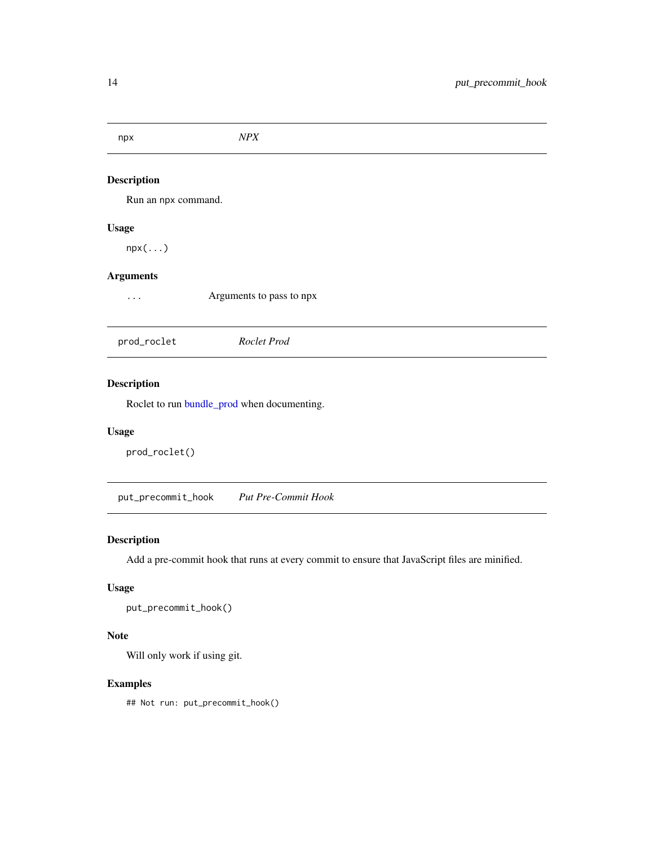<span id="page-13-0"></span>

| npx                 | NPX                      |  |
|---------------------|--------------------------|--|
| <b>Description</b>  |                          |  |
| Run an npx command. |                          |  |
| <b>Usage</b>        |                          |  |
| $npx(\ldots)$       |                          |  |
| <b>Arguments</b>    |                          |  |
| .                   | Arguments to pass to npx |  |
|                     |                          |  |
| prod_roclet         | Roclet Prod              |  |
| <b>Description</b>  |                          |  |
|                     |                          |  |

Roclet to run [bundle\\_prod](#page-5-2) when documenting.

## Usage

prod\_roclet()

<span id="page-13-1"></span>put\_precommit\_hook *Put Pre-Commit Hook*

## Description

Add a pre-commit hook that runs at every commit to ensure that JavaScript files are minified.

## Usage

put\_precommit\_hook()

## Note

Will only work if using git.

## Examples

## Not run: put\_precommit\_hook()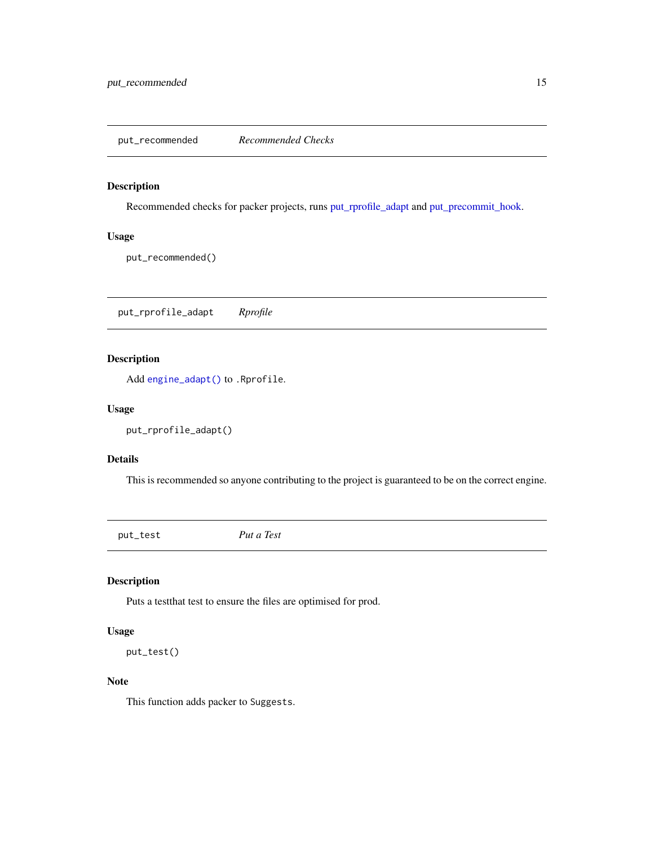<span id="page-14-0"></span>put\_recommended *Recommended Checks*

## Description

Recommended checks for packer projects, runs [put\\_rprofile\\_adapt](#page-14-1) and [put\\_precommit\\_hook.](#page-13-1)

## Usage

put\_recommended()

<span id="page-14-1"></span>put\_rprofile\_adapt *Rprofile*

## Description

Add [engine\\_adapt\(\)](#page-7-1) to .Rprofile.

#### Usage

put\_rprofile\_adapt()

## Details

This is recommended so anyone contributing to the project is guaranteed to be on the correct engine.

put\_test *Put a Test*

## Description

Puts a testthat test to ensure the files are optimised for prod.

## Usage

put\_test()

## Note

This function adds packer to Suggests.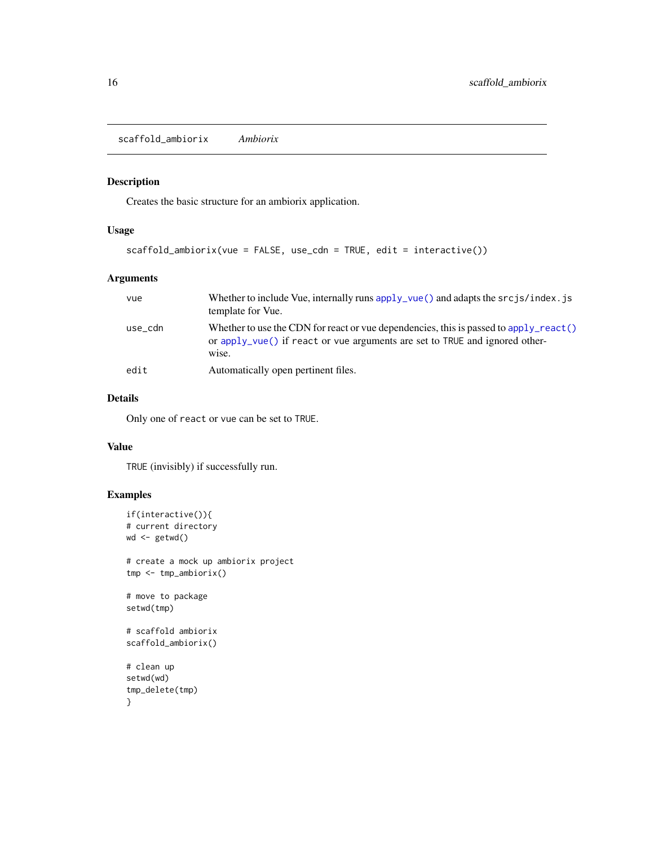<span id="page-15-0"></span>scaffold\_ambiorix *Ambiorix*

## Description

Creates the basic structure for an ambiorix application.

## Usage

```
scaffold_ambiorix(vue = FALSE, use_cdn = TRUE, edit = interactive())
```
## Arguments

| vue     | Whether to include Vue, internally runs $apply\_vue()$ and adapts the $srcjs/index$ . js<br>template for Vue.                                                                  |
|---------|--------------------------------------------------------------------------------------------------------------------------------------------------------------------------------|
| use_cdn | Whether to use the CDN for react or vue dependencies, this is passed to apply react ()<br>or apply_vue() if react or vue arguments are set to TRUE and ignored other-<br>wise. |
| edit    | Automatically open pertinent files.                                                                                                                                            |

## Details

Only one of react or vue can be set to TRUE.

## Value

TRUE (invisibly) if successfully run.

```
if(interactive()){
# current directory
wd <- getwd()
# create a mock up ambiorix project
tmp <- tmp_ambiorix()
# move to package
setwd(tmp)
# scaffold ambiorix
scaffold_ambiorix()
# clean up
setwd(wd)
tmp_delete(tmp)
}
```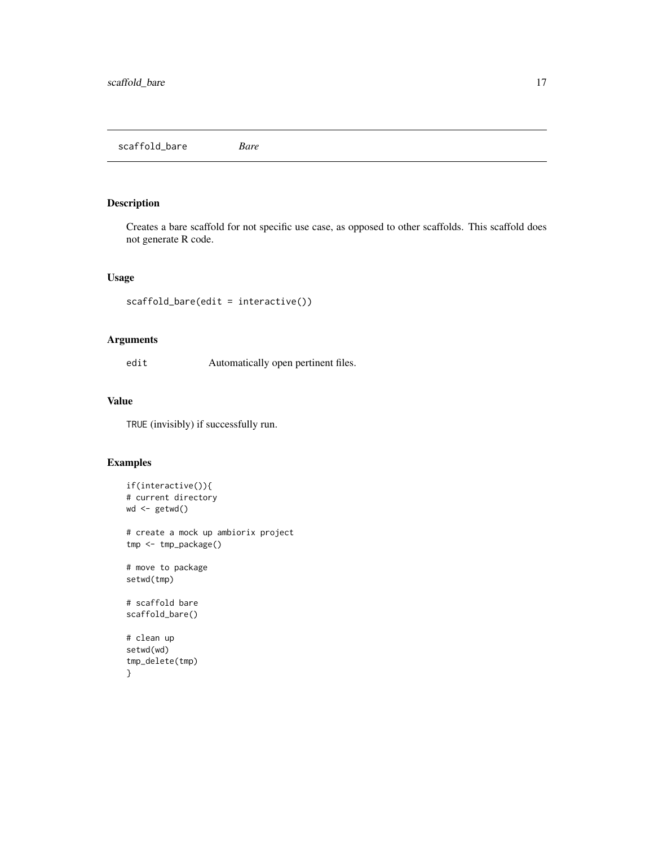<span id="page-16-0"></span>scaffold\_bare *Bare*

## Description

Creates a bare scaffold for not specific use case, as opposed to other scaffolds. This scaffold does not generate R code.

## Usage

```
scaffold_bare(edit = interactive())
```
## Arguments

edit Automatically open pertinent files.

## Value

TRUE (invisibly) if successfully run.

```
if(interactive()){
# current directory
wd <- getwd()
# create a mock up ambiorix project
tmp <- tmp_package()
# move to package
setwd(tmp)
# scaffold bare
scaffold_bare()
# clean up
setwd(wd)
tmp_delete(tmp)
}
```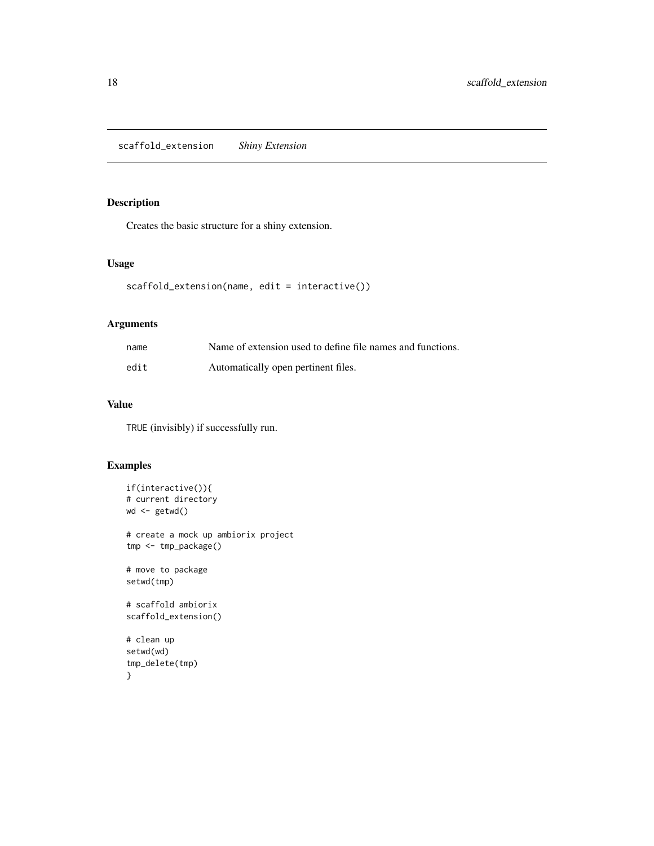<span id="page-17-0"></span>scaffold\_extension *Shiny Extension*

## Description

Creates the basic structure for a shiny extension.

## Usage

```
scaffold_extension(name, edit = interactive())
```
## Arguments

| name | Name of extension used to define file names and functions. |
|------|------------------------------------------------------------|
| edit | Automatically open pertinent files.                        |

## Value

TRUE (invisibly) if successfully run.

```
if(interactive()){
# current directory
wd <- getwd()
# create a mock up ambiorix project
tmp <- tmp_package()
# move to package
setwd(tmp)
# scaffold ambiorix
scaffold_extension()
# clean up
setwd(wd)
tmp_delete(tmp)
}
```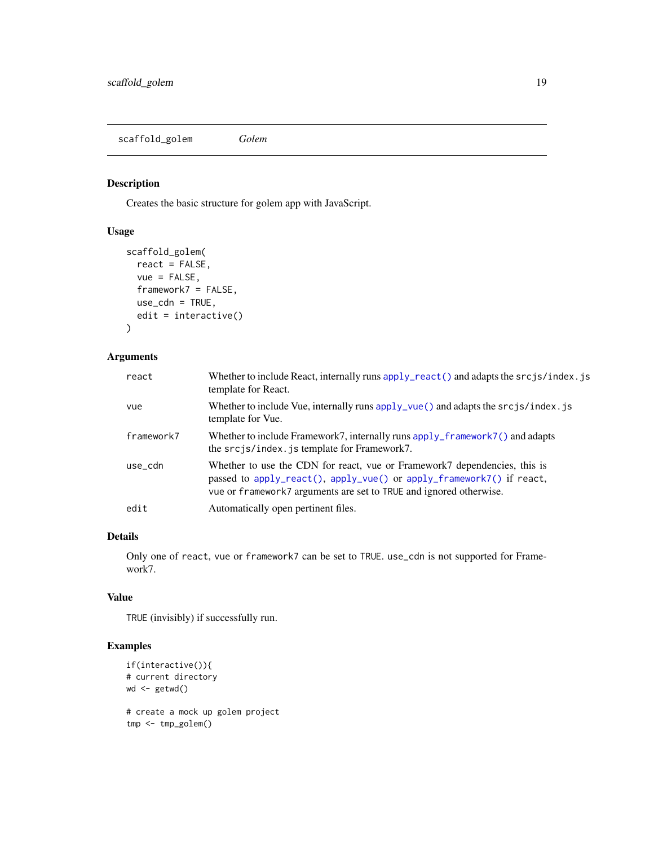<span id="page-18-0"></span>scaffold\_golem *Golem*

## Description

Creates the basic structure for golem app with JavaScript.

## Usage

```
scaffold_golem(
  react = FALSE,
  vue = FALSE,
  framework7 = FALSE,
  use\_cdn = TRUE,edit = interactive()
\mathcal{L}
```
## Arguments

| react      | Whether to include React, internally runs apply_react() and adapts the srcjs/index.js<br>template for React.                                                                                                            |
|------------|-------------------------------------------------------------------------------------------------------------------------------------------------------------------------------------------------------------------------|
| vue        | Whether to include Vue, internally runs $apply_\text{vue}()$ and adapts the $srcjs/index$ . js<br>template for Vue.                                                                                                     |
| framework7 | Whether to include Framework7, internally runs apply_framework7() and adapts<br>the srcjs/index.js template for Framework7.                                                                                             |
| use_cdn    | Whether to use the CDN for react, vue or Framework7 dependencies, this is<br>passed to apply_react(), apply_vue() or apply_framework7() if react,<br>vue or framework7 arguments are set to TRUE and ignored otherwise. |
| edit       | Automatically open pertinent files.                                                                                                                                                                                     |

## Details

Only one of react, vue or framework7 can be set to TRUE. use\_cdn is not supported for Framework7.

## Value

TRUE (invisibly) if successfully run.

```
if(interactive()){
# current directory
wd <- getwd()
# create a mock up golem project
tmp <- tmp_golem()
```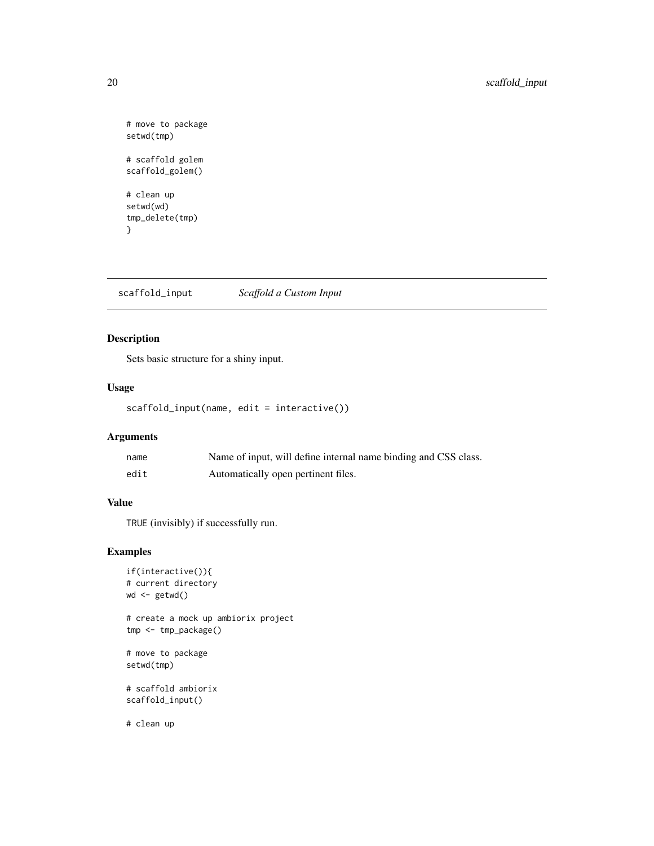```
# move to package
setwd(tmp)
# scaffold golem
scaffold_golem()
# clean up
setwd(wd)
tmp_delete(tmp)
}
```
scaffold\_input *Scaffold a Custom Input*

## Description

Sets basic structure for a shiny input.

## Usage

```
scaffold_input(name, edit = interactive())
```
## Arguments

| name | Name of input, will define internal name binding and CSS class. |
|------|-----------------------------------------------------------------|
| edit | Automatically open pertinent files.                             |

## Value

TRUE (invisibly) if successfully run.

```
if(interactive()){
# current directory
wd <- getwd()
# create a mock up ambiorix project
tmp <- tmp_package()
# move to package
setwd(tmp)
# scaffold ambiorix
scaffold_input()
# clean up
```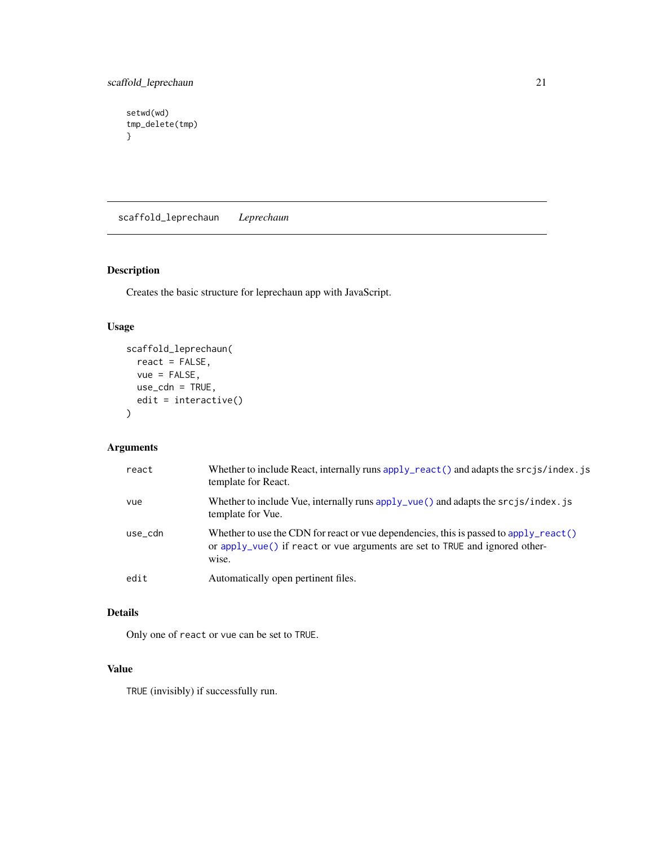```
setwd(wd)
tmp_delete(tmp)
}
```
scaffold\_leprechaun *Leprechaun*

## Description

Creates the basic structure for leprechaun app with JavaScript.

## Usage

```
scaffold_leprechaun(
 react = FALSE,
 vue = FALSE,use_cdn = TRUE,
 edit = interactive()
)
```
## Arguments

| react   | Whether to include React, internally runs apply_react() and adapts the srcjs/index.js<br>template for React.                                                                   |
|---------|--------------------------------------------------------------------------------------------------------------------------------------------------------------------------------|
| vue     | Whether to include Vue, internally runs $apply\_vue()$ and adapts the $srcjs/index.js$<br>template for Vue.                                                                    |
| use_cdn | Whether to use the CDN for react or vue dependencies, this is passed to apply react ()<br>or apply vue() if react or vue arguments are set to TRUE and ignored other-<br>wise. |
| edit    | Automatically open pertinent files.                                                                                                                                            |

## Details

Only one of react or vue can be set to TRUE.

## Value

TRUE (invisibly) if successfully run.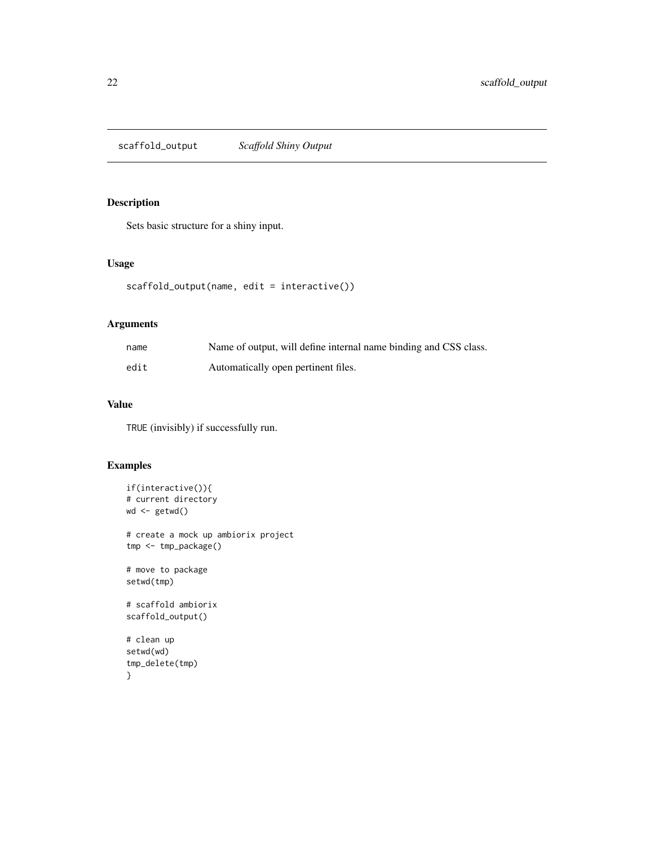<span id="page-21-0"></span>scaffold\_output *Scaffold Shiny Output*

#### Description

Sets basic structure for a shiny input.

## Usage

```
scaffold_output(name, edit = interactive())
```
## Arguments

| name | Name of output, will define internal name binding and CSS class. |
|------|------------------------------------------------------------------|
| edit | Automatically open pertinent files.                              |

## Value

TRUE (invisibly) if successfully run.

```
if(interactive()){
# current directory
wd <- getwd()
# create a mock up ambiorix project
tmp <- tmp_package()
# move to package
setwd(tmp)
# scaffold ambiorix
scaffold_output()
# clean up
setwd(wd)
tmp_delete(tmp)
}
```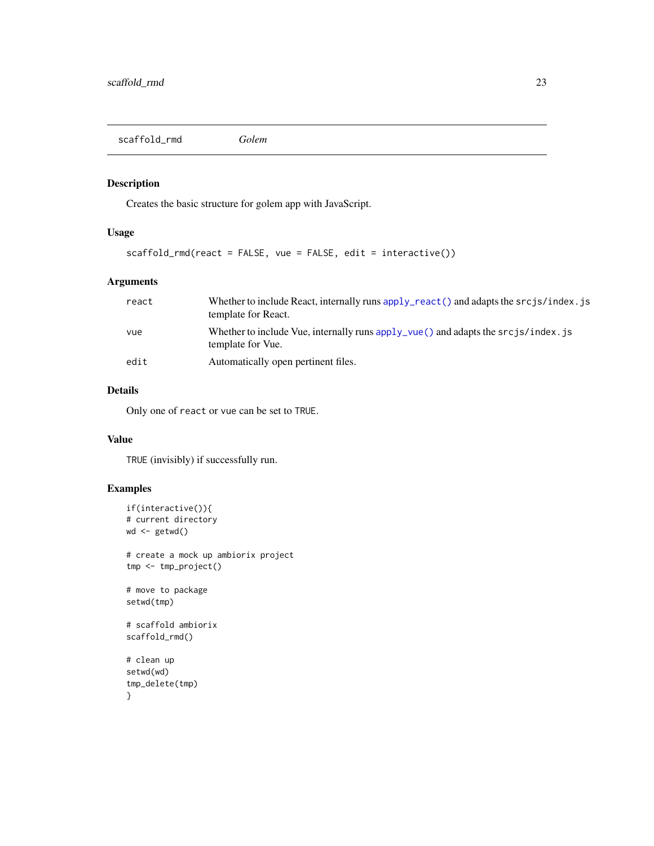<span id="page-22-0"></span>scaffold\_rmd *Golem*

## Description

Creates the basic structure for golem app with JavaScript.

## Usage

```
scaffold_rmd(react = FALSE, vue = FALSE, edit = interactive())
```
## Arguments

| react | Whether to include React, internally runs apply react () and adapts the $srcjs/index$ is<br>template for React.    |
|-------|--------------------------------------------------------------------------------------------------------------------|
| vue   | Whether to include Vue, internally runs $apply_\text{true}()$ and adapts the $srcjs/index.js$<br>template for Vue. |
| edit  | Automatically open pertinent files.                                                                                |

## Details

Only one of react or vue can be set to TRUE.

## Value

TRUE (invisibly) if successfully run.

```
if(interactive()){
# current directory
wd <- getwd()
# create a mock up ambiorix project
tmp <- tmp_project()
# move to package
setwd(tmp)
# scaffold ambiorix
scaffold_rmd()
# clean up
setwd(wd)
tmp_delete(tmp)
}
```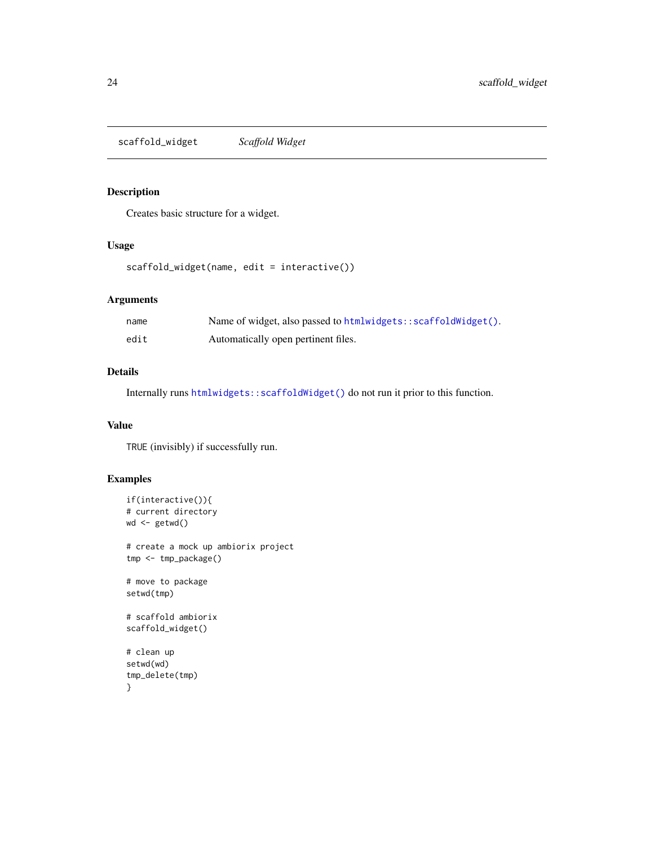<span id="page-23-0"></span>scaffold\_widget *Scaffold Widget*

## Description

Creates basic structure for a widget.

## Usage

```
scaffold_widget(name, edit = interactive())
```
## Arguments

| name | Name of widget, also passed to html widgets: : scaffold $Wiglet()$ . |
|------|----------------------------------------------------------------------|
| edit | Automatically open pertinent files.                                  |

## Details

Internally runs [htmlwidgets::scaffoldWidget\(\)](#page-0-0) do not run it prior to this function.

## Value

TRUE (invisibly) if successfully run.

```
if(interactive()){
# current directory
wd <- getwd()
# create a mock up ambiorix project
tmp <- tmp_package()
# move to package
setwd(tmp)
# scaffold ambiorix
scaffold_widget()
# clean up
setwd(wd)
tmp_delete(tmp)
}
```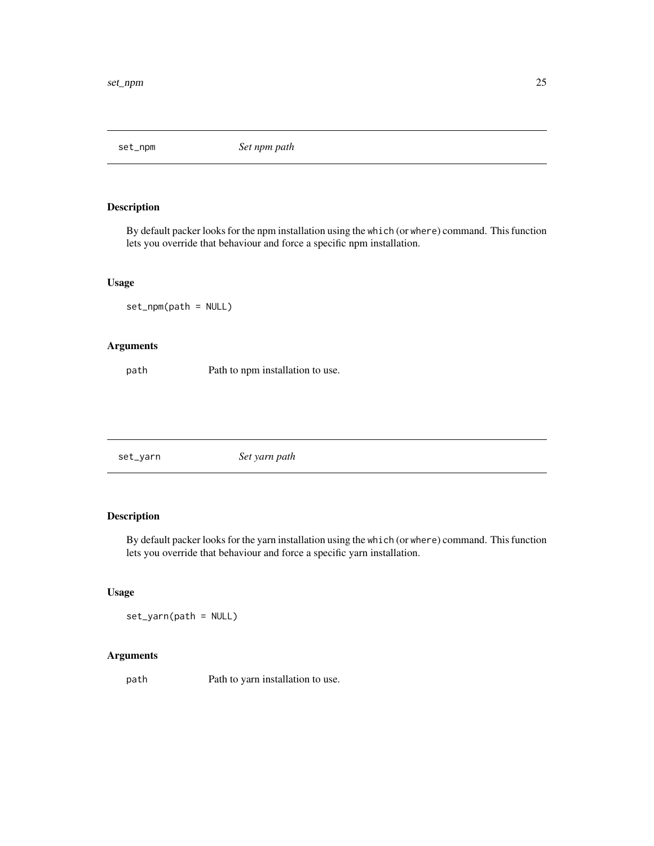<span id="page-24-0"></span>set\_npm *Set npm path*

#### Description

By default packer looks for the npm installation using the which (or where) command. This function lets you override that behaviour and force a specific npm installation.

#### Usage

set\_npm(path = NULL)

## Arguments

path Path to npm installation to use.

set\_yarn *Set yarn path*

## Description

By default packer looks for the yarn installation using the which (or where) command. This function lets you override that behaviour and force a specific yarn installation.

## Usage

set\_yarn(path = NULL)

## Arguments

path Path to yarn installation to use.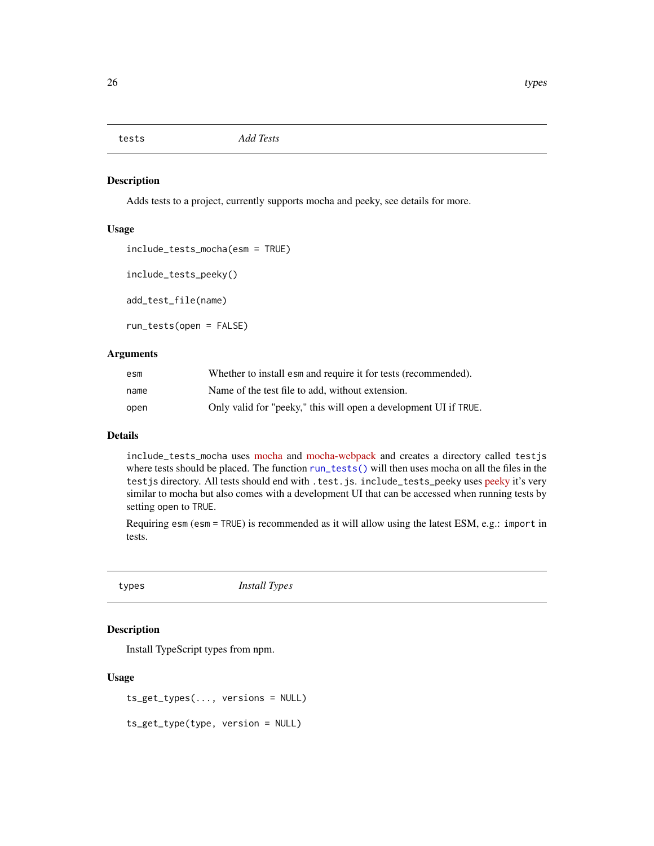<span id="page-25-0"></span>

#### <span id="page-25-1"></span>Description

Adds tests to a project, currently supports mocha and peeky, see details for more.

## Usage

```
include_tests_mocha(esm = TRUE)
include_tests_peeky()
add_test_file(name)
```
run\_tests(open = FALSE)

## Arguments

| esm  | Whether to install esm and require it for tests (recommended).   |
|------|------------------------------------------------------------------|
| name | Name of the test file to add, without extension.                 |
| open | Only valid for "peeky," this will open a development UI if TRUE. |

## Details

include\_tests\_mocha uses [mocha](https://mochajs.org/) and [mocha-webpack](https://webpack.js.org/loaders/mocha-loader/) and creates a directory called testjs where tests should be placed. The function [run\\_tests\(\)](#page-25-1) will then uses mocha on all the files in the testjs directory. All tests should end with .test.js. include\_tests\_peeky uses [peeky](https://github.com/Akryum/peeky) it's very similar to mocha but also comes with a development UI that can be accessed when running tests by setting open to TRUE.

Requiring esm (esm = TRUE) is recommended as it will allow using the latest ESM, e.g.: import in tests.

types *Install Types*

## Description

Install TypeScript types from npm.

#### Usage

```
ts_get_types(..., versions = NULL)
```
ts\_get\_type(type, version = NULL)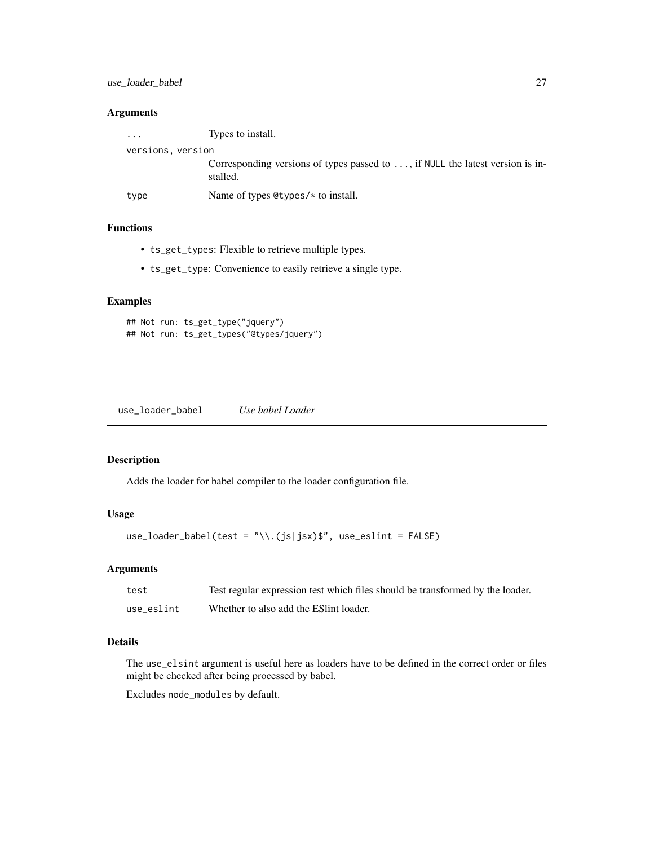## <span id="page-26-0"></span>use\_loader\_babel 27

## Arguments

| $\cdot$ $\cdot$ $\cdot$ | Types to install.                                                                         |
|-------------------------|-------------------------------------------------------------------------------------------|
| versions, version       |                                                                                           |
|                         | Corresponding versions of types passed to , if NULL the latest version is in-<br>stalled. |
| type                    | Name of types $Q$ types/ $*$ to install.                                                  |

## Functions

- ts\_get\_types: Flexible to retrieve multiple types.
- ts\_get\_type: Convenience to easily retrieve a single type.

#### Examples

```
## Not run: ts_get_type("jquery")
## Not run: ts_get_types("@types/jquery")
```
use\_loader\_babel *Use babel Loader*

#### Description

Adds the loader for babel compiler to the loader configuration file.

## Usage

```
use_loader_babel(test = "\\.(js|jsx)$", use_eslint = FALSE)
```
## Arguments

| test       | Test regular expression test which files should be transformed by the loader. |
|------------|-------------------------------------------------------------------------------|
| use eslint | Whether to also add the ESI int loader.                                       |

## Details

The use\_elsint argument is useful here as loaders have to be defined in the correct order or files might be checked after being processed by babel.

Excludes node\_modules by default.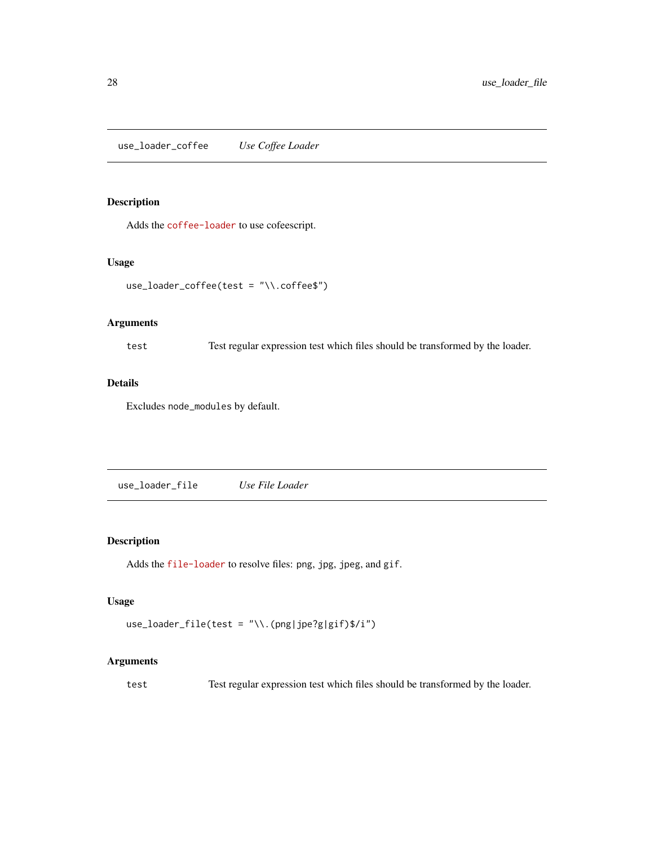<span id="page-27-0"></span>use\_loader\_coffee *Use Coffee Loader*

## Description

Adds the [coffee-loader](https://webpack.js.org/loaders/coffee-loader/) to use cofeescript.

#### Usage

```
use_loader_coffee(test = "\\.coffee$")
```
## Arguments

test Test regular expression test which files should be transformed by the loader.

## Details

Excludes node\_modules by default.

use\_loader\_file *Use File Loader*

## Description

Adds the [file-loader](https://webpack.js.org/loaders/file-loader/) to resolve files: png, jpg, jpeg, and gif.

## Usage

```
use_loader_file(test = "\\.(png|jpe?g|gif)$/i")
```
## Arguments

test Test regular expression test which files should be transformed by the loader.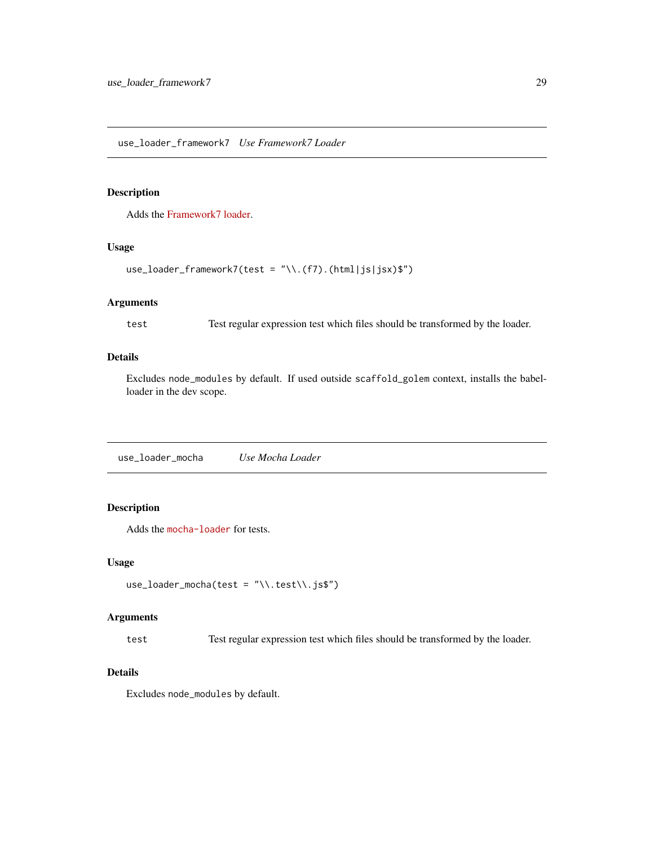## <span id="page-28-0"></span>Description

Adds the [Framework7 loader.](https://www.npmjs.com/package/framework7-loader)

## Usage

```
use_loader_framework7(test = "\\.(f7).(html|js|jsx)$")
```
## Arguments

test Test regular expression test which files should be transformed by the loader.

## Details

Excludes node\_modules by default. If used outside scaffold\_golem context, installs the babelloader in the dev scope.

use\_loader\_mocha *Use Mocha Loader*

## Description

Adds the [mocha-loader](https://webpack.js.org/loaders/mocha-loader/) for tests.

#### Usage

```
use\_loader_mocha(test = "\\ \t{test\\ .js$")
```
## Arguments

test Test regular expression test which files should be transformed by the loader.

#### Details

Excludes node\_modules by default.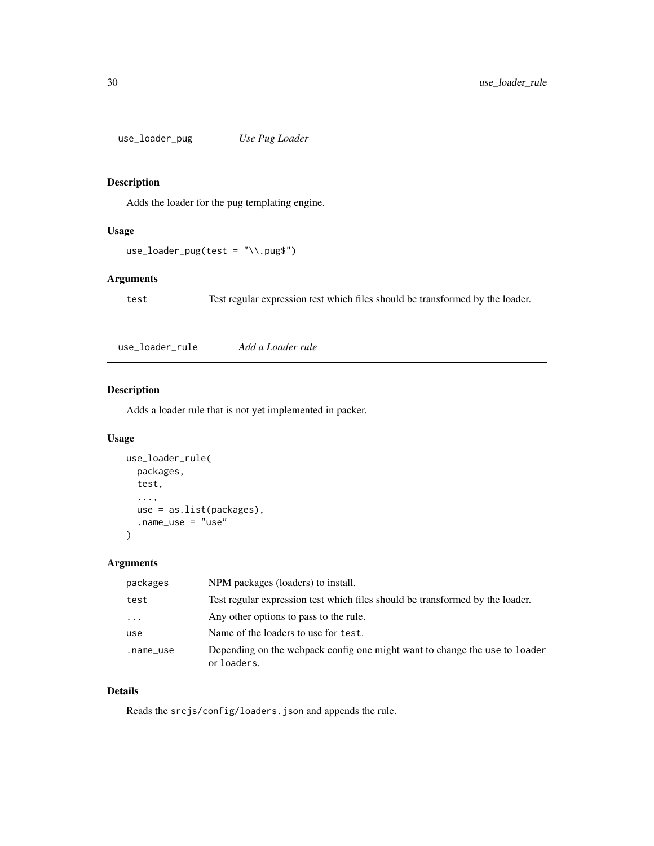<span id="page-29-0"></span>use\_loader\_pug *Use Pug Loader*

## Description

Adds the loader for the pug templating engine.

## Usage

```
use\_loader\_pug(test = "\\.pug$")
```
## Arguments

test Test regular expression test which files should be transformed by the loader.

use\_loader\_rule *Add a Loader rule*

## Description

Adds a loader rule that is not yet implemented in packer.

## Usage

```
use_loader_rule(
  packages,
  test,
  ...,
  use = as.list(packages),
  .name_use = "use"
\mathcal{L}
```
## Arguments

| packages  | NPM packages (loaders) to install.                                                        |
|-----------|-------------------------------------------------------------------------------------------|
| test      | Test regular expression test which files should be transformed by the loader.             |
| $\ddotsc$ | Any other options to pass to the rule.                                                    |
| use       | Name of the loaders to use for test.                                                      |
| .name_use | Depending on the webpack config one might want to change the use to loader<br>or loaders. |

## Details

Reads the srcjs/config/loaders.json and appends the rule.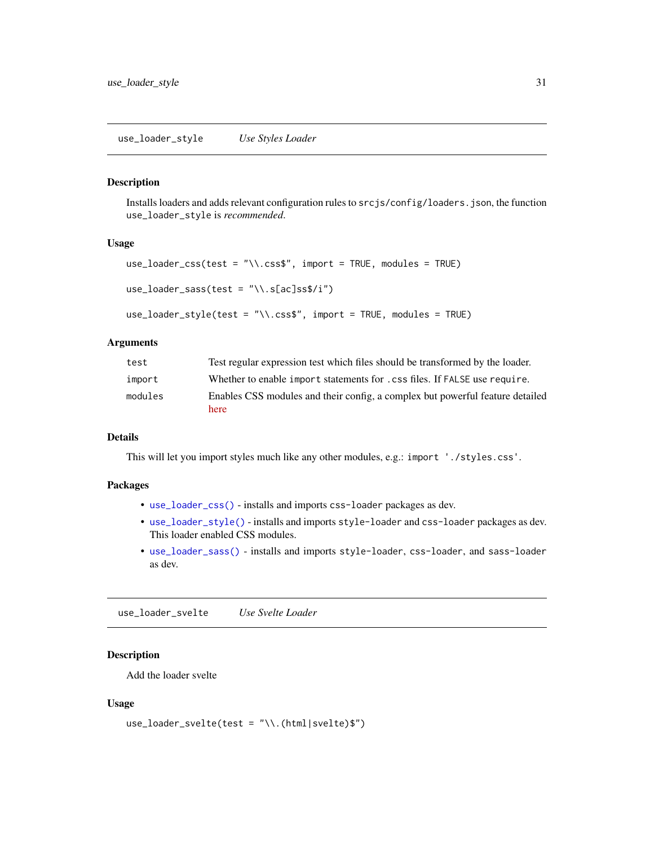#### <span id="page-30-2"></span><span id="page-30-1"></span><span id="page-30-0"></span>Description

Installs loaders and adds relevant configuration rules to srcjs/config/loaders.json, the function use\_loader\_style is *recommended*.

#### Usage

```
use_loader_css(test = "\\.css$", import = TRUE, modules = TRUE)
use\_loader\_sass(test = "\\ \.S[ac]ss$/i")
```

```
use_loader_style(test = "\\.css$", import = TRUE, modules = TRUE)
```
#### Arguments

| test    | Test regular expression test which files should be transformed by the loader.         |
|---------|---------------------------------------------------------------------------------------|
| import  | Whether to enable import statements for . css files. If FALSE use require.            |
| modules | Enables CSS modules and their config. a complex but powerful feature detailed<br>here |

## Details

This will let you import styles much like any other modules, e.g.: import './styles.css'.

#### Packages

- [use\\_loader\\_css\(\)](#page-30-1) installs and imports css-loader packages as dev.
- [use\\_loader\\_style\(\)](#page-30-2) installs and imports style-loader and css-loader packages as dev. This loader enabled CSS modules.
- [use\\_loader\\_sass\(\)](#page-30-1) installs and imports style-loader, css-loader, and sass-loader as dev.

use\_loader\_svelte *Use Svelte Loader*

## Description

Add the loader svelte

#### Usage

```
use_loader_svelte(test = "\\.(html|svelte)$")
```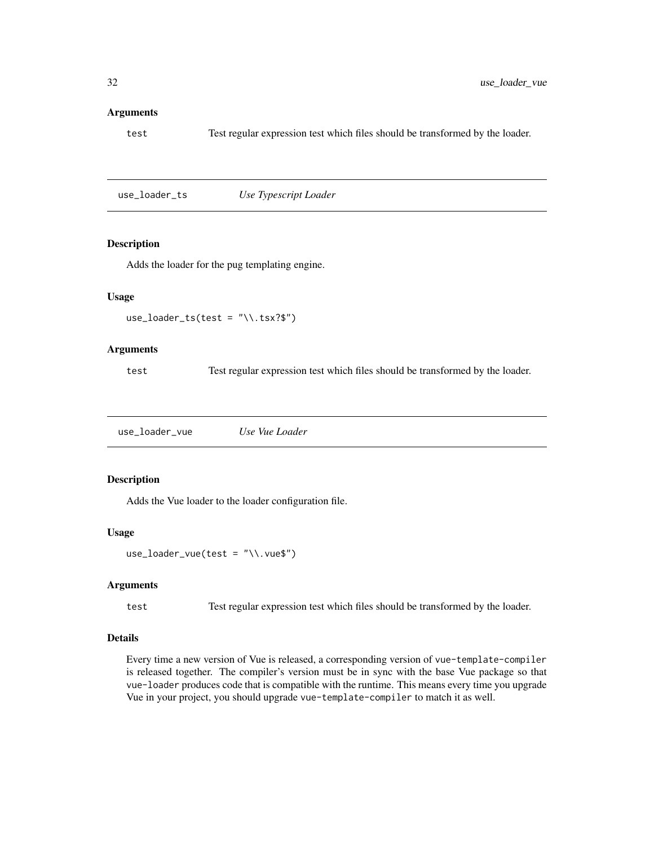#### <span id="page-31-0"></span>Arguments

test Test regular expression test which files should be transformed by the loader.

use\_loader\_ts *Use Typescript Loader*

## Description

Adds the loader for the pug templating engine.

## Usage

```
use_loader_ts(test = "\ \ \ . tsx?$")
```
#### Arguments

test Test regular expression test which files should be transformed by the loader.

use\_loader\_vue *Use Vue Loader*

#### Description

Adds the Vue loader to the loader configuration file.

#### Usage

```
use\_loader\_vue(test = "\\v.vue$")
```
#### Arguments

test Test regular expression test which files should be transformed by the loader.

## Details

Every time a new version of Vue is released, a corresponding version of vue-template-compiler is released together. The compiler's version must be in sync with the base Vue package so that vue-loader produces code that is compatible with the runtime. This means every time you upgrade Vue in your project, you should upgrade vue-template-compiler to match it as well.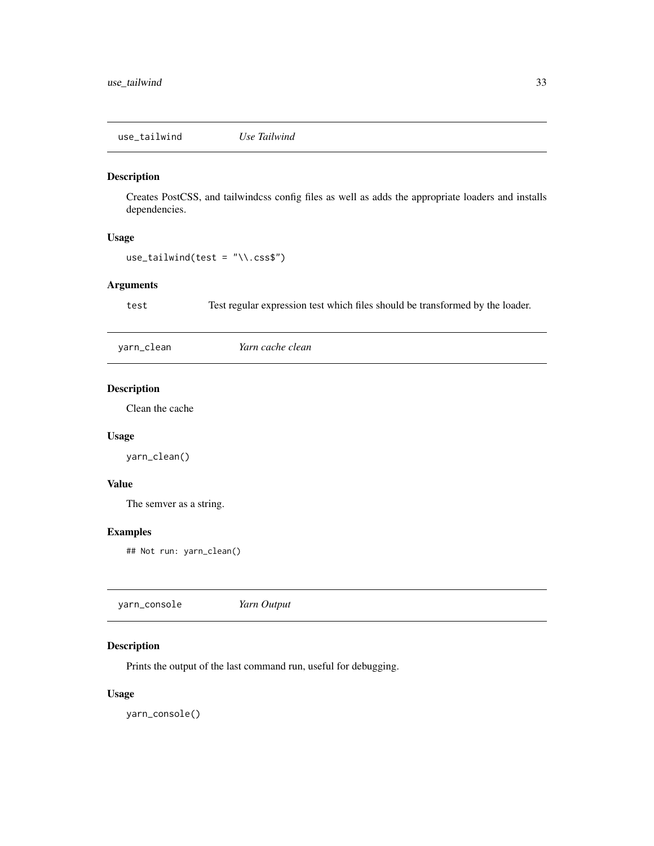<span id="page-32-0"></span>use\_tailwind *Use Tailwind*

## Description

Creates PostCSS, and tailwindcss config files as well as adds the appropriate loaders and installs dependencies.

## Usage

 $use\_tailwind(test = "\\ \n...css$")$ 

## Arguments

test Test regular expression test which files should be transformed by the loader.

yarn\_clean *Yarn cache clean*

## Description

Clean the cache

## Usage

yarn\_clean()

## Value

The semver as a string.

## Examples

## Not run: yarn\_clean()

## Description

Prints the output of the last command run, useful for debugging.

## Usage

yarn\_console()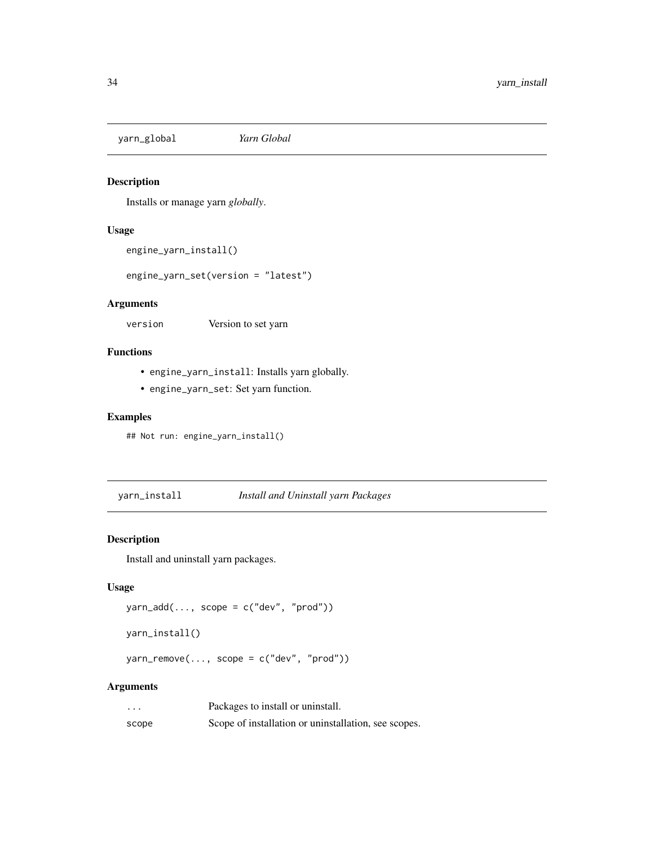<span id="page-33-0"></span>yarn\_global *Yarn Global*

## Description

Installs or manage yarn *globally*.

## Usage

```
engine_yarn_install()
```
engine\_yarn\_set(version = "latest")

## Arguments

version Version to set yarn

## Functions

- engine\_yarn\_install: Installs yarn globally.
- engine\_yarn\_set: Set yarn function.

## Examples

```
## Not run: engine_yarn_install()
```
yarn\_install *Install and Uninstall yarn Packages*

## Description

Install and uninstall yarn packages.

## Usage

```
\gammaarn_add(\ldots, \text{ scope} = c("dev", "prod")
```

```
yarn_install()
```
 $yarn\_remove(..., scope = c("dev", "prod")$ 

## Arguments

| $\cdots$ | Packages to install or uninstall.                    |
|----------|------------------------------------------------------|
| scope    | Scope of installation or uninstallation, see scopes. |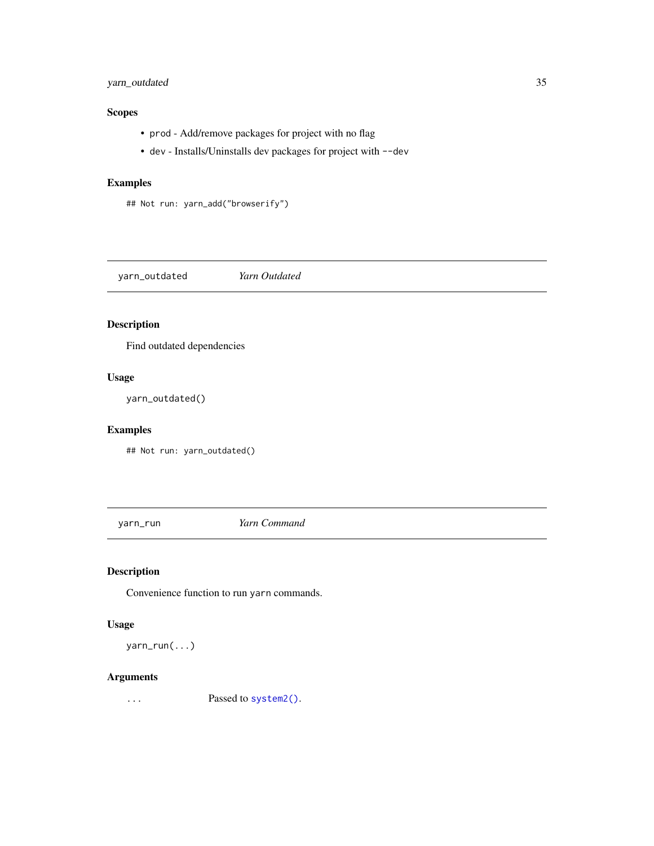## <span id="page-34-0"></span>yarn\_outdated 35

## Scopes

- prod Add/remove packages for project with no flag
- dev Installs/Uninstalls dev packages for project with --dev

## Examples

```
## Not run: yarn_add("browserify")
```
yarn\_outdated *Yarn Outdated*

## Description

Find outdated dependencies

## Usage

yarn\_outdated()

## Examples

## Not run: yarn\_outdated()

yarn\_run *Yarn Command*

## Description

Convenience function to run yarn commands.

#### Usage

yarn\_run(...)

## Arguments

... Passed to [system2\(\)](#page-0-0).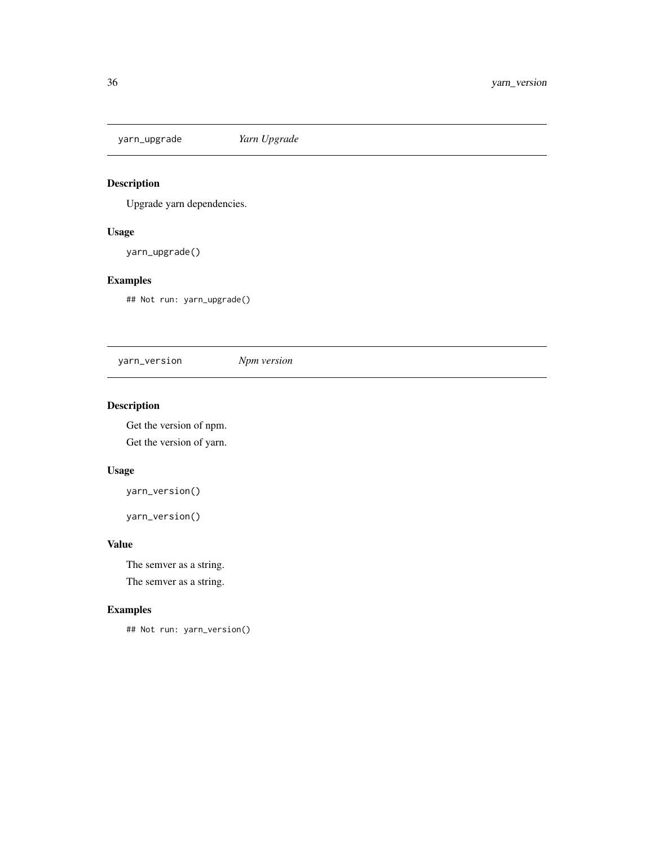<span id="page-35-0"></span>yarn\_upgrade *Yarn Upgrade*

## Description

Upgrade yarn dependencies.

## Usage

yarn\_upgrade()

## Examples

## Not run: yarn\_upgrade()

yarn\_version *Npm version*

## Description

Get the version of npm.

Get the version of yarn.

## Usage

yarn\_version()

yarn\_version()

## Value

The semver as a string. The semver as a string.

## Examples

## Not run: yarn\_version()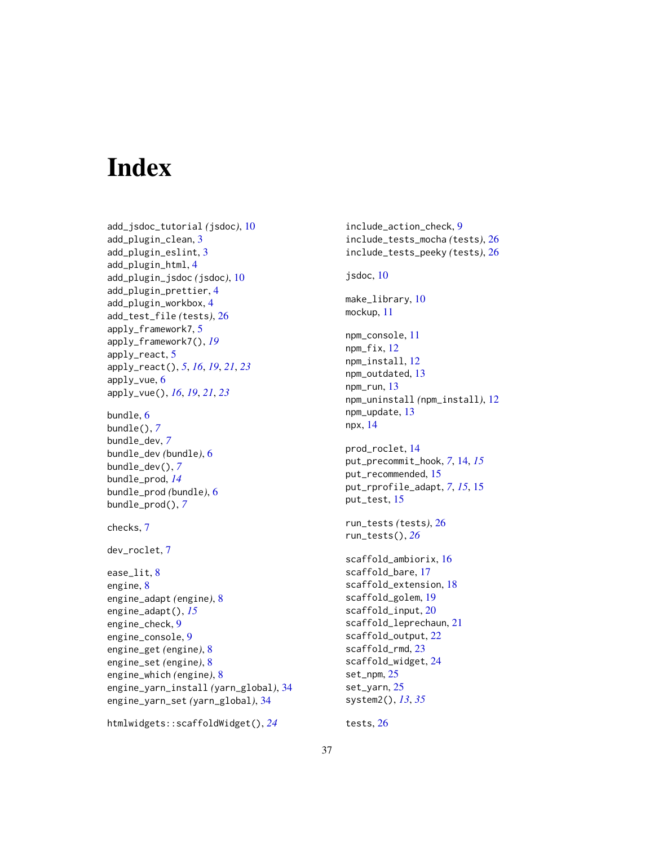# <span id="page-36-0"></span>**Index**

```
add_jsdoc_tutorial (jsdoc), 10
add_plugin_clean, 3
add_plugin_eslint, 3
add_plugin_html, 4
add_plugin_jsdoc (jsdoc), 10
add_plugin_prettier, 4
add_plugin_workbox, 4
add_test_file (tests), 26
apply_framework7, 5
apply_framework7(), 19
apply_react, 5
apply_react(), 5, 16, 19, 21, 23
apply_vue, 6
apply_vue(), 16, 19, 21, 23
bundle, 6
bundle(), 7
bundle_dev, 7
bundle_dev (bundle), 6
bundle_dev(), 7
bundle_prod, 14
bundle_prod (bundle), 6
bundle_prod(), 7
checks, 7
dev_roclet, 7
ease_lit, 8
engine, 8
engine_adapt (engine), 8
engine_adapt(), 15
engine_check, 9
engine_console, 9
engine_get (engine), 8
engine_set (engine), 8
engine_which (engine), 8
engine_yarn_install (yarn_global), 34
engine_yarn_set (yarn_global), 34
```

```
htmlwidgets::scaffoldWidget(), 24
```
include\_action\_check, [9](#page-8-0) include\_tests\_mocha *(*tests*)*, [26](#page-25-0) include\_tests\_peeky *(*tests*)*, [26](#page-25-0) jsdoc, [10](#page-9-0) make\_library, [10](#page-9-0) mockup, [11](#page-10-0) npm\_console, [11](#page-10-0) npm\_fix, [12](#page-11-0) npm\_install, [12](#page-11-0) npm\_outdated, [13](#page-12-0) npm\_run, [13](#page-12-0) npm\_uninstall *(*npm\_install*)*, [12](#page-11-0) npm\_update, [13](#page-12-0) npx, [14](#page-13-0) prod\_roclet, [14](#page-13-0) put\_precommit\_hook, *[7](#page-6-0)*, [14,](#page-13-0) *[15](#page-14-0)* put\_recommended, [15](#page-14-0) put\_rprofile\_adapt, *[7](#page-6-0)*, *[15](#page-14-0)*, [15](#page-14-0) put\_test, [15](#page-14-0) run\_tests *(*tests*)*, [26](#page-25-0) run\_tests(), *[26](#page-25-0)* scaffold\_ambiorix, [16](#page-15-0) scaffold\_bare, [17](#page-16-0) scaffold\_extension, [18](#page-17-0) scaffold\_golem, [19](#page-18-0) scaffold\_input, [20](#page-19-0) scaffold\_leprechaun, [21](#page-20-0) scaffold\_output, [22](#page-21-0) scaffold\_rmd, [23](#page-22-0) scaffold\_widget, [24](#page-23-0) set\_npm, [25](#page-24-0) set\_yarn, [25](#page-24-0) system2(), *[13](#page-12-0)*, *[35](#page-34-0)*

tests, [26](#page-25-0)